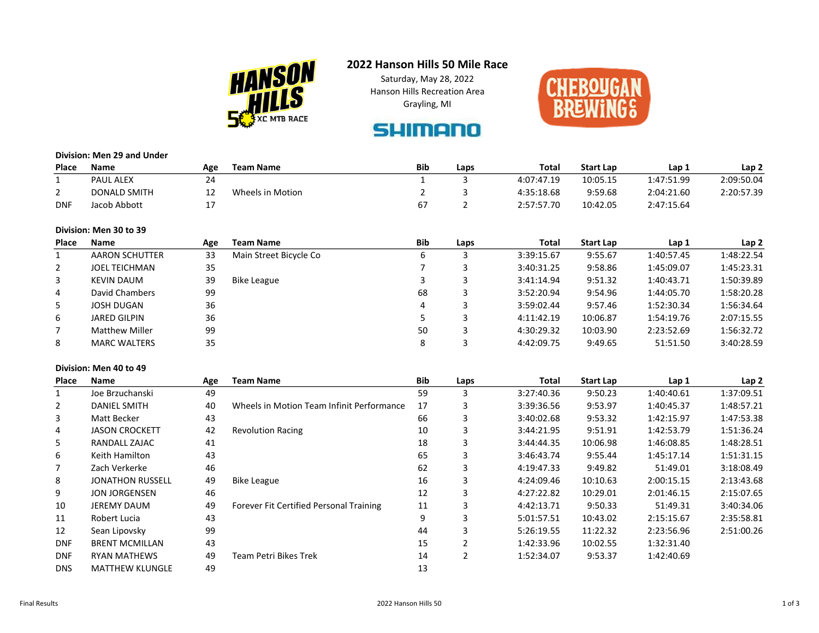

# 2022 Hanson Hills 50 Mile Race

Saturday, May 28, 2022 Hanson Hills Recreation Area Grayling, MI



# **SHIMANO**

### Division: Men 29 and Under

| Place      | <b>Name</b>      | Age | <b>Team Name</b> | <b>Bib</b> | Laps | <b>Total</b> | <b>Start Lap</b> | Lap :      | Lap <sub>2</sub> |
|------------|------------------|-----|------------------|------------|------|--------------|------------------|------------|------------------|
|            | <b>PAUL ALEX</b> | 24  |                  |            |      | 4:07:47.19   | 10:05.15         | 1:47:51.99 | 2:09:50.04       |
|            | DONALD SMITH     | --  | Wheels in Motion |            |      | 4:35:18.68   | 9:59.68          | 2:04:21.60 | 2:20:57.39       |
| <b>DNF</b> | Jacob Abbott     | . . |                  |            |      | 2:57:57.70   | 10:42.05         | 2:47:15.64 |                  |

## Division: Men 30 to 39

| Place | Name                  | Age | <b>Team Name</b>       | <b>Bib</b> | Laps | Total      | <b>Start Lap</b> | Lap 1      | Lap <sub>2</sub> |
|-------|-----------------------|-----|------------------------|------------|------|------------|------------------|------------|------------------|
|       | <b>AARON SCHUTTER</b> | 33  | Main Street Bicycle Co |            |      | 3:39:15.67 | 9:55.67          | 1:40:57.45 | 1:48:22.54       |
| 2     | <b>JOEL TEICHMAN</b>  | 35  |                        |            |      | 3:40:31.25 | 9:58.86          | 1:45:09.07 | 1:45:23.31       |
| 3     | <b>KEVIN DAUM</b>     | 39  | Bike League            |            |      | 3:41:14.94 | 9:51.32          | 1:40:43.71 | 1:50:39.89       |
| 4     | David Chambers        | 99  |                        | 68         |      | 3:52:20.94 | 9:54.96          | 1:44:05.70 | 1:58:20.28       |
| 5     | <b>JOSH DUGAN</b>     | 36  |                        | 4          |      | 3:59:02.44 | 9:57.46          | 1:52:30.34 | 1:56:34.64       |
| 6     | <b>JARED GILPIN</b>   | 36  |                        |            |      | 4:11:42.19 | 10:06.87         | 1:54:19.76 | 2:07:15.55       |
|       | <b>Matthew Miller</b> | 99  |                        | 50         |      | 4:30:29.32 | 10:03.90         | 2:23:52.69 | 1:56:32.72       |
| 8     | <b>MARC WALTERS</b>   | 35  |                        |            |      | 4:42:09.75 | 9:49.65          | 51:51.50   | 3:40:28.59       |

## Division: Men 40 to 49

| Place      | <b>Name</b>             | Age | <b>Team Name</b>                          | <b>Bib</b> | Laps | Total      | <b>Start Lap</b> | Lap 1      | Lap <sub>2</sub> |
|------------|-------------------------|-----|-------------------------------------------|------------|------|------------|------------------|------------|------------------|
|            | Joe Brzuchanski         | 49  |                                           | 59         | 3    | 3:27:40.36 | 9:50.23          | 1:40:40.61 | 1:37:09.51       |
| 2          | <b>DANIEL SMITH</b>     | 40  | Wheels in Motion Team Infinit Performance | 17         | 3    | 3:39:36.56 | 9:53.97          | 1:40:45.37 | 1:48:57.21       |
| 3          | Matt Becker             | 43  |                                           | 66         | 3    | 3:40:02.68 | 9:53.32          | 1:42:15.97 | 1:47:53.38       |
| 4          | <b>JASON CROCKETT</b>   | 42  | <b>Revolution Racing</b>                  | 10         | 3    | 3:44:21.95 | 9:51.91          | 1:42:53.79 | 1:51:36.24       |
| 5          | RANDALL ZAJAC           | 41  |                                           | 18         | 3    | 3:44:44.35 | 10:06.98         | 1:46:08.85 | 1:48:28.51       |
| 6          | Keith Hamilton          | 43  |                                           | 65         | 3    | 3:46:43.74 | 9:55.44          | 1:45:17.14 | 1:51:31.15       |
|            | Zach Verkerke           | 46  |                                           | 62         | 3    | 4:19:47.33 | 9:49.82          | 51:49.01   | 3:18:08.49       |
| 8          | <b>JONATHON RUSSELL</b> | 49  | <b>Bike League</b>                        | 16         | 3    | 4:24:09.46 | 10:10.63         | 2:00:15.15 | 2:13:43.68       |
| 9          | <b>JON JORGENSEN</b>    | 46  |                                           | 12         | 3    | 4:27:22.82 | 10:29.01         | 2:01:46.15 | 2:15:07.65       |
| 10         | <b>JEREMY DAUM</b>      | 49  | Forever Fit Certified Personal Training   | 11         | 3    | 4:42:13.71 | 9:50.33          | 51:49.31   | 3:40:34.06       |
| 11         | Robert Lucia            | 43  |                                           | 9          | 3    | 5:01:57.51 | 10:43.02         | 2:15:15.67 | 2:35:58.81       |
| 12         | Sean Lipovsky           | 99  |                                           | 44         |      | 5:26:19.55 | 11:22.32         | 2:23:56.96 | 2:51:00.26       |
| <b>DNF</b> | <b>BRENT MCMILLAN</b>   | 43  |                                           | 15         |      | 1:42:33.96 | 10:02.55         | 1:32:31.40 |                  |
| <b>DNF</b> | <b>RYAN MATHEWS</b>     | 49  | Team Petri Bikes Trek                     | 14         |      | 1:52:34.07 | 9:53.37          | 1:42:40.69 |                  |
| <b>DNS</b> | <b>MATTHEW KLUNGLE</b>  | 49  |                                           | 13         |      |            |                  |            |                  |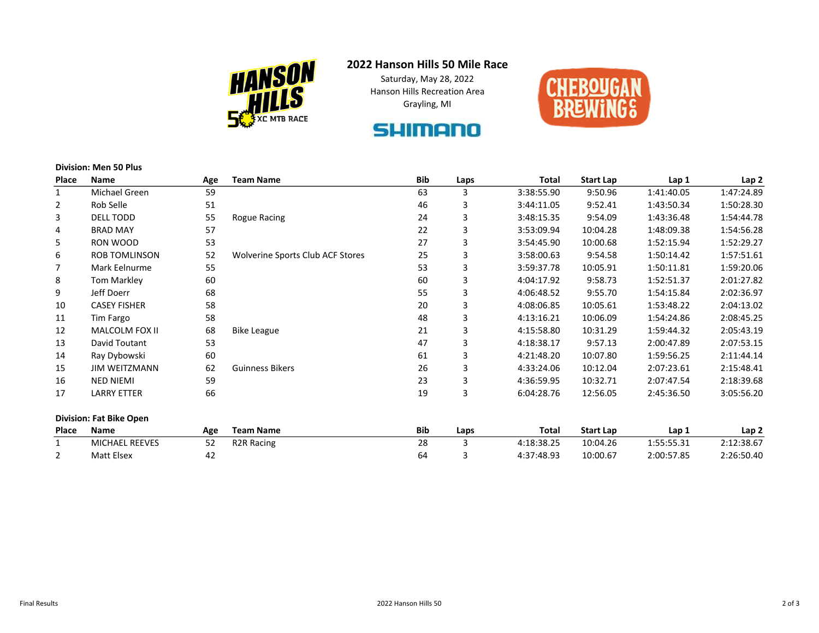

# 2022 Hanson Hills 50 Mile Race

Saturday, May 28, 2022 Hanson Hills Recreation Area Grayling, MI



# **SHIMANO**

#### Division: Men 50 Plus

| <b>Place</b>   | <b>Name</b>                    | Age | <b>Team Name</b>                 | <b>Bib</b> | Laps | <b>Total</b> | <b>Start Lap</b> | Lap <sub>1</sub> | Lap <sub>2</sub> |
|----------------|--------------------------------|-----|----------------------------------|------------|------|--------------|------------------|------------------|------------------|
| $\mathbf{1}$   | Michael Green                  | 59  |                                  | 63         | 3    | 3:38:55.90   | 9:50.96          | 1:41:40.05       | 1:47:24.89       |
| 2              | Rob Selle                      | 51  |                                  | 46         | 3    | 3:44:11.05   | 9:52.41          | 1:43:50.34       | 1:50:28.30       |
| 3              | DELL TODD                      | 55  | Rogue Racing                     | 24         | 3    | 3:48:15.35   | 9:54.09          | 1:43:36.48       | 1:54:44.78       |
| 4              | <b>BRAD MAY</b>                | 57  |                                  | 22         | 3    | 3:53:09.94   | 10:04.28         | 1:48:09.38       | 1:54:56.28       |
| 5              | RON WOOD                       | 53  |                                  | 27         | 3    | 3:54:45.90   | 10:00.68         | 1:52:15.94       | 1:52:29.27       |
| 6              | ROB TOMLINSON                  | 52  | Wolverine Sports Club ACF Stores | 25         | 3    | 3:58:00.63   | 9:54.58          | 1:50:14.42       | 1:57:51.61       |
| $\overline{7}$ | Mark Eelnurme                  | 55  |                                  | 53         | 3    | 3:59:37.78   | 10:05.91         | 1:50:11.81       | 1:59:20.06       |
| 8              | <b>Tom Markley</b>             | 60  |                                  | 60         | 3    | 4:04:17.92   | 9:58.73          | 1:52:51.37       | 2:01:27.82       |
| 9              | Jeff Doerr                     | 68  |                                  | 55         | 3    | 4:06:48.52   | 9:55.70          | 1:54:15.84       | 2:02:36.97       |
| 10             | <b>CASEY FISHER</b>            | 58  |                                  | 20         | 3    | 4:08:06.85   | 10:05.61         | 1:53:48.22       | 2:04:13.02       |
| 11             | Tim Fargo                      | 58  |                                  | 48         | 3    | 4:13:16.21   | 10:06.09         | 1:54:24.86       | 2:08:45.25       |
| 12             | MALCOLM FOX II                 | 68  | <b>Bike League</b>               | 21         | 3    | 4:15:58.80   | 10:31.29         | 1:59:44.32       | 2:05:43.19       |
| 13             | David Toutant                  | 53  |                                  | 47         | 3    | 4:18:38.17   | 9:57.13          | 2:00:47.89       | 2:07:53.15       |
| 14             | Ray Dybowski                   | 60  |                                  | 61         | 3    | 4:21:48.20   | 10:07.80         | 1:59:56.25       | 2:11:44.14       |
| 15             | <b>JIM WEITZMANN</b>           | 62  | <b>Guinness Bikers</b>           | 26         | 3    | 4:33:24.06   | 10:12.04         | 2:07:23.61       | 2:15:48.41       |
| 16             | <b>NED NIEMI</b>               | 59  |                                  | 23         | 3    | 4:36:59.95   | 10:32.71         | 2:07:47.54       | 2:18:39.68       |
| 17             | <b>LARRY ETTER</b>             | 66  |                                  | 19         | 3    | 6:04:28.76   | 12:56.05         | 2:45:36.50       | 3:05:56.20       |
|                | <b>Division: Fat Bike Open</b> |     |                                  |            |      |              |                  |                  |                  |
| Place          | <b>Name</b>                    | Age | <b>Team Name</b>                 | <b>Bib</b> | Laps | Total        | <b>Start Lap</b> | Lap 1            | Lap <sub>2</sub> |
| 1              | <b>MICHAEL REEVES</b>          | 52  | R <sub>2</sub> R Racing          | 28         | 3    | 4:18:38.25   | 10:04.26         | 1:55:55.31       | 2:12:38.67       |
| 2              | Matt Elsex                     | 42  |                                  | 64         | 3    | 4:37:48.93   | 10:00.67         | 2:00:57.85       | 2:26:50.40       |